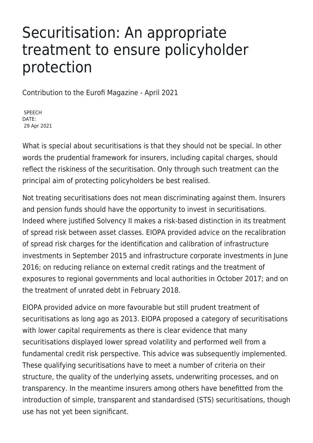## Securitisation: An appropriate treatment to ensure policyholder protection

Contribution to the Eurofi Magazine - April 2021

SPEECH DATE: 29 Apr 2021

What is special about securitisations is that they should not be special. In other words the prudential framework for insurers, including capital charges, should reflect the riskiness of the securitisation. Only through such treatment can the principal aim of protecting policyholders be best realised.

Not treating securitisations does not mean discriminating against them. Insurers and pension funds should have the opportunity to invest in securitisations. Indeed where justified Solvency II makes a risk-based distinction in its treatment of spread risk between asset classes. EIOPA provided advice on the recalibration of spread risk charges for the identification and calibration of infrastructure investments in September 2015 and infrastructure corporate investments in June 2016; on reducing reliance on external credit ratings and the treatment of exposures to regional governments and local authorities in October 2017; and on the treatment of unrated debt in February 2018.

EIOPA provided advice on more favourable but still prudent treatment of securitisations as long ago as 2013. EIOPA proposed a category of securitisations with lower capital requirements as there is clear evidence that many securitisations displayed lower spread volatility and performed well from a fundamental credit risk perspective. This advice was subsequently implemented. These qualifying securitisations have to meet a number of criteria on their structure, the quality of the underlying assets, underwriting processes, and on transparency. In the meantime insurers among others have benefitted from the introduction of simple, transparent and standardised (STS) securitisations, though use has not yet been significant.